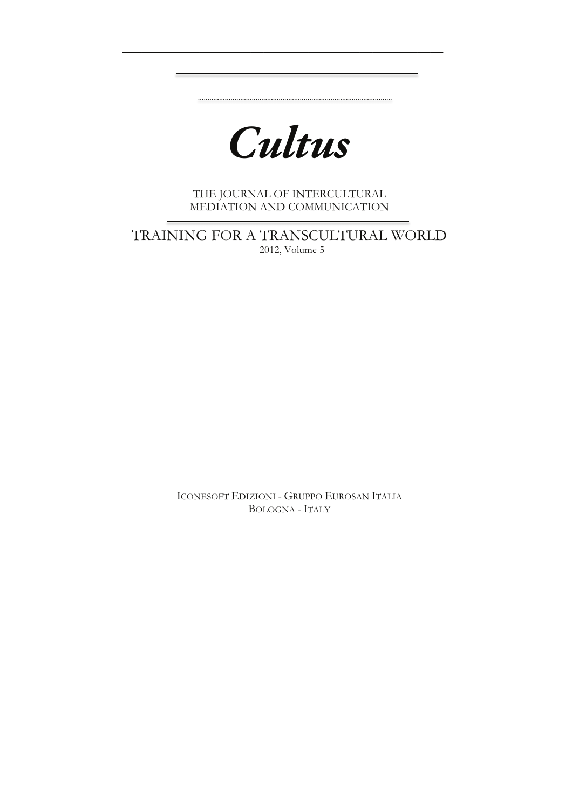*Cultus*

 $\overline{\phantom{a}}$  , and the contract of the contract of the contract of the contract of the contract of the contract of the contract of the contract of the contract of the contract of the contract of the contract of the contrac

THE JOURNAL OF INTERCULTURAL MEDIATION AND COMMUNICATION

TRAINING FOR A TRANSCULTURAL WORLD 2012, Volume 5

ICONESOFT EDIZIONI - GRUPPO EUROSAN ITALIA BOLOGNA - ITALY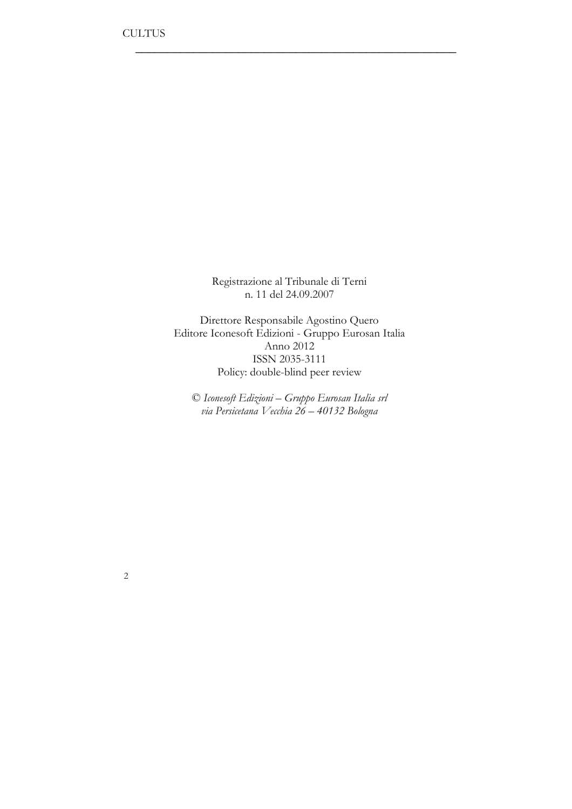Registrazione al Tribunale di Terni n. 11 del 24.09.2007

 $\overline{\phantom{a}}$  , which is a set of the set of the set of the set of the set of the set of the set of the set of the set of the set of the set of the set of the set of the set of the set of the set of the set of the set of th

Direttore Responsabile Agostino Quero Editore Iconesoft Edizioni - Gruppo Eurosan Italia Anno 2012 ISSN 2035-3111 Policy: double-blind peer review

© *Iconesoft Edizioni – Gruppo Eurosan Italia srl via Persicetana Vecchia 26 – 40132 Bologna*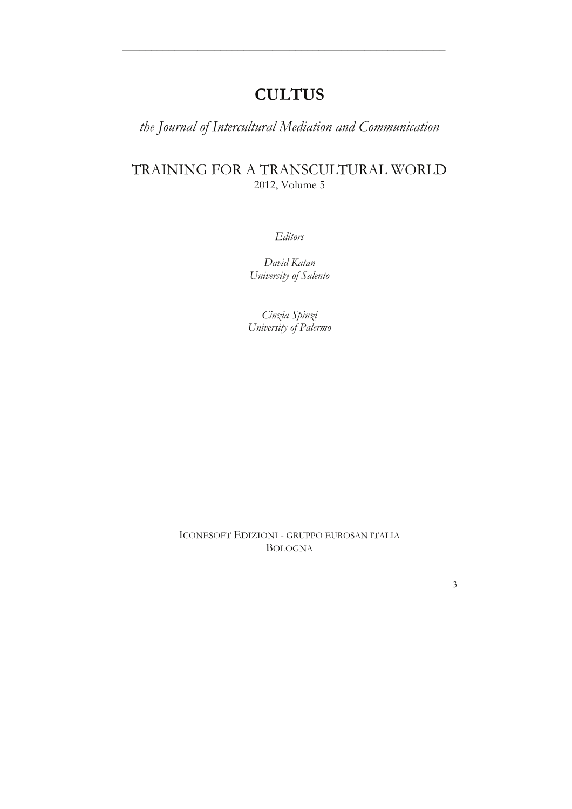# **CULTUS**

\_\_\_\_\_\_\_\_\_\_\_\_\_\_\_\_\_\_\_\_\_\_\_\_\_\_\_\_\_\_\_\_\_\_\_\_\_\_\_\_\_\_\_\_*\_\_\_\_\_\_\_\_\_\_\_\_*

*the Journal of Intercultural Mediation and Communication*

## TRAINING FOR A TRANSCULTURAL WORLD 2012, Volume 5

*Editors*

*David Katan University of Salento* 

*Cinzia Spinzi University of Palermo*

ICONESOFT EDIZIONI - GRUPPO EUROSAN ITALIA BOLOGNA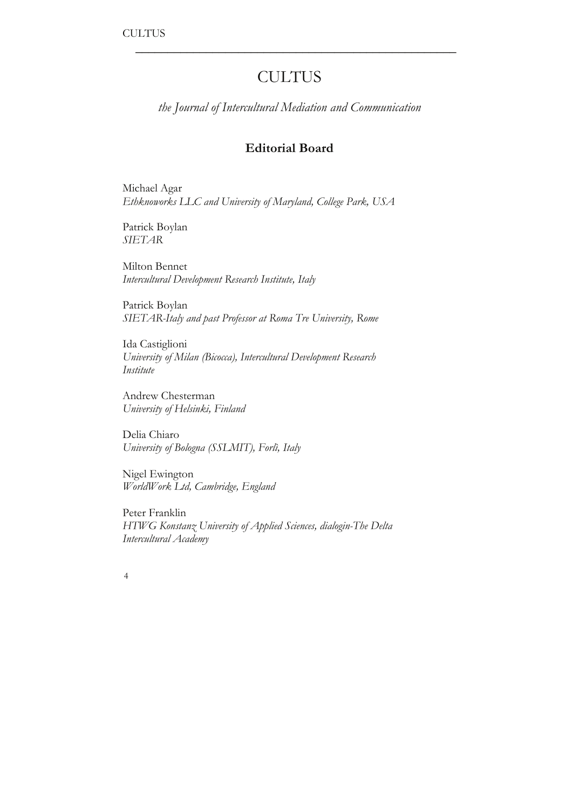# **CULTUS**

 $\overline{\phantom{a}}$  , which is a set of the set of the set of the set of the set of the set of the set of the set of the set of the set of the set of the set of the set of the set of the set of the set of the set of the set of th

*the Journal of Intercultural Mediation and Communication*

## **Editorial Board**

Michael Agar *Ethknoworks LLC and University of Maryland, College Park, USA*

Patrick Boylan *SIETAR*

Milton Bennet *Intercultural Development Research Institute, Italy*

Patrick Boylan *SIETAR-Italy and past Professor at Roma Tre University, Rome*

Ida Castiglioni *University of Milan (Bicocca), Intercultural Development Research Institute*

Andrew Chesterman *University of Helsinki, Finland*

Delia Chiaro *University of Bologna (SSLMIT), Forlì, Italy*

Nigel Ewington *WorldWork Ltd, Cambridge, England*

Peter Franklin *HTWG Konstanz University of Applied Sciences, dialogin-The Delta Intercultural Academy*

| I |  |
|---|--|
|   |  |
|   |  |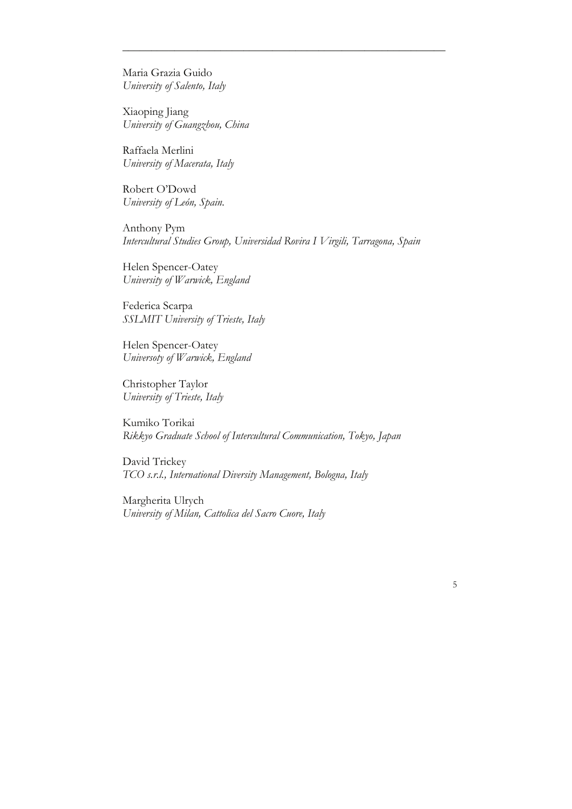Maria Grazia Guido *University of Salento, Italy*

Xiaoping Jiang *University of Guangzhou, China*

Raffaela Merlini *University of Macerata, Italy*

Robert O'Dowd *University of León, Spain.*

Anthony Pym *Intercultural Studies Group, Universidad Rovira I Virgili, Tarragona, Spain*

\_\_\_\_\_\_\_\_\_\_\_\_\_\_\_\_\_\_\_\_\_\_\_\_\_\_\_\_\_\_\_\_\_\_\_\_\_\_\_\_\_\_\_\_*\_\_\_\_\_\_\_\_\_\_\_\_*

Helen Spencer-Oatey *University of Warwick, England*

Federica Scarpa *SSLMIT University of Trieste, Italy*

Helen Spencer-Oatey *Universoty of Warwick, England*

Christopher Taylor *University of Trieste, Italy*

Kumiko Torikai *Rikkyo Graduate School of Intercultural Communication, Tokyo, Japan*

David Trickey *TCO s.r.l., International Diversity Management, Bologna, Italy*

Margherita Ulrych *University of Milan, Cattolica del Sacro Cuore, Italy*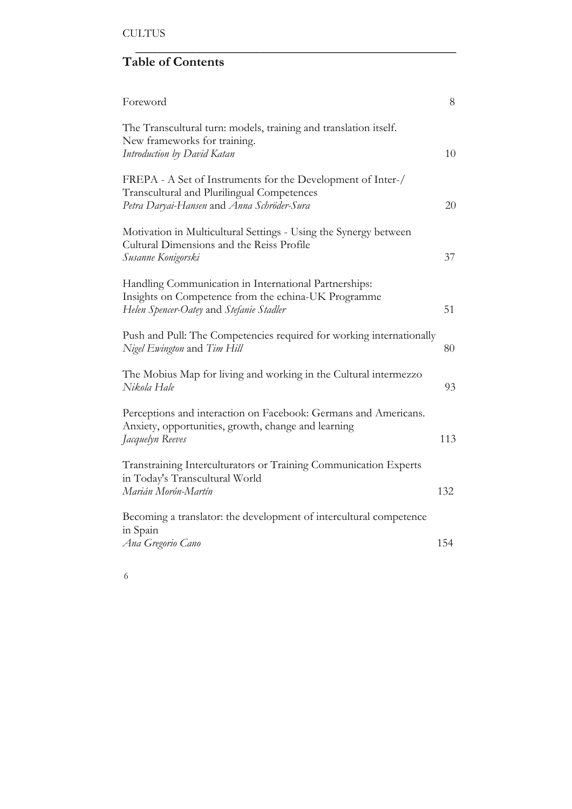# **Table of Contents**

| Foreword                                                                                                                                                 | 8   |
|----------------------------------------------------------------------------------------------------------------------------------------------------------|-----|
| The Transcultural turn: models, training and translation itself.<br>New frameworks for training.<br>Introduction by David Katan                          | 10  |
| FREPA - A Set of Instruments for the Development of Inter-/<br>Transcultural and Plurilingual Competences<br>Petra Daryai-Hansen and Anna Schröder-Sura  | 20  |
| Motivation in Multicultural Settings - Using the Synergy between<br>Cultural Dimensions and the Reiss Profile<br>Susanne Konigorski                      | 37  |
| Handling Communication in International Partnerships:<br>Insights on Competence from the echina-UK Programme<br>Helen Spencer-Oatey and Stefanie Stadler | 51  |
| Push and Pull: The Competencies required for working internationally<br>Nigel Ewington and Tim Hill                                                      | 80  |
| The Mobius Map for living and working in the Cultural intermezzo<br>Nikola Hale                                                                          | 93  |
| Perceptions and interaction on Facebook: Germans and Americans.<br>Anxiety, opportunities, growth, change and learning<br>Jacquelyn Reeves               | 113 |
| Transtraining Interculturators or Training Communication Experts<br>in Today's Transcultural World<br>Marián Morón-Martín                                | 132 |
| Becoming a translator: the development of intercultural competence<br>in Spain                                                                           |     |
| Ana Gregorio Cano                                                                                                                                        | 154 |

 $\overline{\phantom{a}}$  , which is a set of the set of the set of the set of the set of the set of the set of the set of the set of the set of the set of the set of the set of the set of the set of the set of the set of the set of th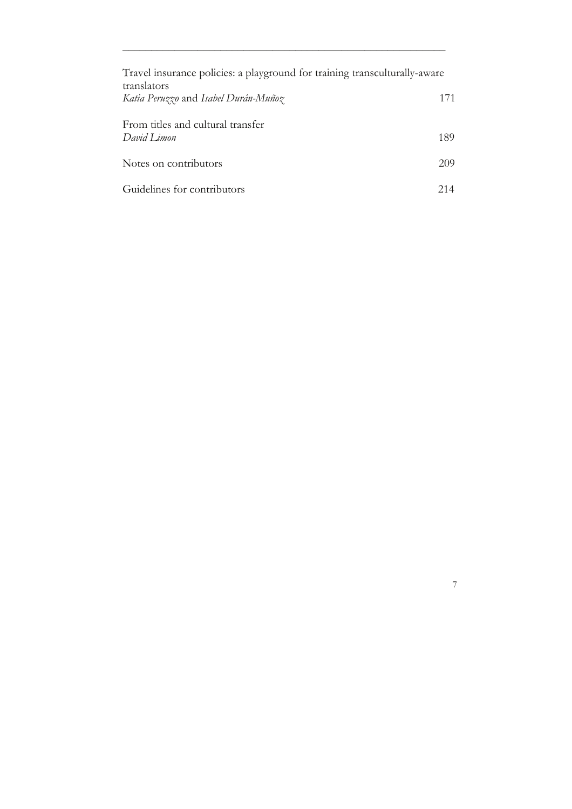| Travel insurance policies: a playground for training transculturally-aware |     |
|----------------------------------------------------------------------------|-----|
| translators                                                                |     |
| Katia Peruzzo and Isabel Durán-Muñoz                                       | 171 |
| From titles and cultural transfer                                          |     |
| David Limon                                                                | 189 |
|                                                                            |     |
| Notes on contributors                                                      | 209 |
| Guidelines for contributors                                                | 214 |

7

\_\_\_\_\_\_\_\_\_\_\_\_\_\_\_\_\_\_\_\_\_\_\_\_\_\_\_\_\_\_\_\_\_\_\_\_\_\_\_\_\_\_\_\_*\_\_\_\_\_\_\_\_\_\_\_\_*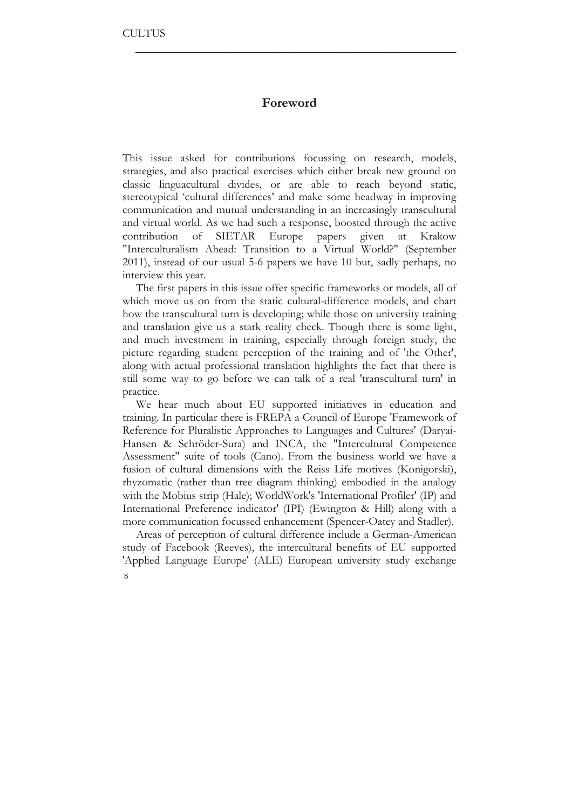## **Foreword**

 $\overline{\phantom{a}}$  , which is a set of the set of the set of the set of the set of the set of the set of the set of the set of the set of the set of the set of the set of the set of the set of the set of the set of the set of th

This issue asked for contributions focussing on research, models, strategies, and also practical exercises which either break new ground on classic linguacultural divides, or are able to reach beyond static, stereotypical 'cultural differences' and make some headway in improving communication and mutual understanding in an increasingly transcultural and virtual world. As we had such a response, boosted through the active contribution of SIETAR Europe papers given at Krakow "Interculturalism Ahead: Transition to a Virtual World?" (September 2011), instead of our usual 5-6 papers we have 10 but, sadly perhaps, no interview this year.

The first papers in this issue offer specific frameworks or models, all of which move us on from the static cultural-difference models, and chart how the transcultural turn is developing; while those on university training and translation give us a stark reality check. Though there is some light, and much investment in training, especially through foreign study, the picture regarding student perception of the training and of 'the Other', along with actual professional translation highlights the fact that there is still some way to go before we can talk of a real 'transcultural turn' in practice.

We hear much about EU supported initiatives in education and training. In particular there is FREPA a Council of Europe 'Framework of Reference for Pluralistic Approaches to Languages and Cultures' (Daryai-Hansen & Schröder-Sura) and INCA, the "Intercultural Competence Assessment" suite of tools (Cano). From the business world we have a fusion of cultural dimensions with the Reiss Life motives (Konigorski), rhyzomatic (rather than tree diagram thinking) embodied in the analogy with the Mobius strip (Hale); WorldWork's 'International Profiler' (IP) and International Preference indicator' (IPI) (Ewington & Hill) along with a more communication focussed enhancement (Spencer-Oatey and Stadler).

8 Areas of perception of cultural difference include a German-American study of Facebook (Reeves), the intercultural benefits of EU supported 'Applied Language Europe' (ALE) European university study exchange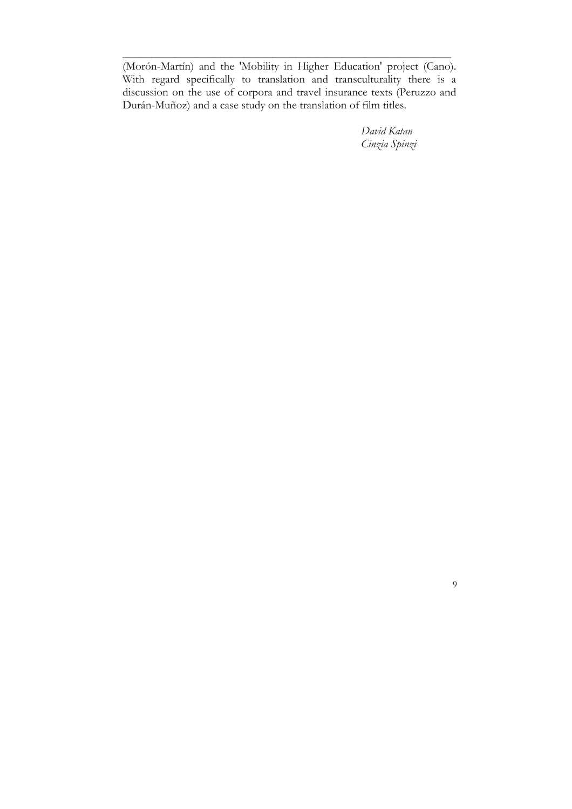(Morón-Martín) and the 'Mobility in Higher Education' project (Cano). With regard specifically to translation and transculturality there is a discussion on the use of corpora and travel insurance texts (Peruzzo and Durán-Muñoz) and a case study on the translation of film titles.

\_\_\_\_\_\_\_\_\_\_\_\_\_\_\_\_\_\_\_\_\_\_\_\_\_\_\_\_\_\_\_\_\_\_\_\_\_\_\_\_\_\_\_\_\_\_\_\_\_\_\_\_\_\_\_\_\_

*David Katan Cinzia Spinzi*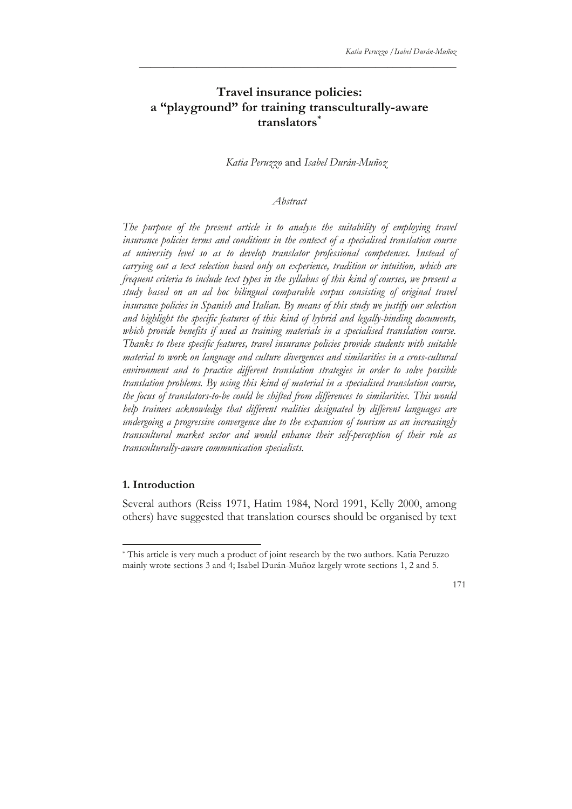## **Travel insurance policies: a "playground" for training transculturally-aware translators\***

\_\_\_\_\_\_\_\_\_\_\_\_\_\_\_\_\_\_\_\_\_\_\_\_\_\_\_\_\_\_\_\_\_\_\_\_\_\_\_\_\_\_\_\_\_\_\_\_\_\_\_\_\_\_\_

*Katia Peruzzo* and *Isabel Durán-Muñoz*

#### *Abstract*

The purpose of the present article is to analyse the suitability of employing travel *insurance policies terms and conditions in the context of a specialised translation course at university level so as to develop translator professional competences. Instead of carrying out a text selection based only on experience, tradition or intuition, which are frequent criteria to include text types in the syllabus of this kind of courses, we present a study based on an ad hoc bilingual comparable corpus consisting of original travel insurance policies in Spanish and Italian. By means of this study we justify our selection and highlight the specific features of this kind of hybrid and legally-binding documents, which provide benefits if used as training materials in a specialised translation course. Thanks to these specific features, travel insurance policies provide students with suitable material to work on language and culture divergences and similarities in a cross-cultural environment and to practice different translation strategies in order to solve possible translation problems. By using this kind of material in a specialised translation course, the focus of translators-to-be could be shifted from differences to similarities. This would help trainees acknowledge that different realities designated by different languages are undergoing a progressive convergence due to the expansion of tourism as an increasingly transcultural market sector and would enhance their self-perception of their role as transculturally-aware communication specialists.*

#### **1. Introduction**

Several authors (Reiss 1971, Hatim 1984, Nord 1991, Kelly 2000, among others) have suggested that translation courses should be organised by text

<sup>\*</sup> This article is very much a product of joint research by the two authors. Katia Peruzzo mainly wrote sections 3 and 4; Isabel Durán-Muñoz largely wrote sections 1, 2 and 5.

<sup>171</sup>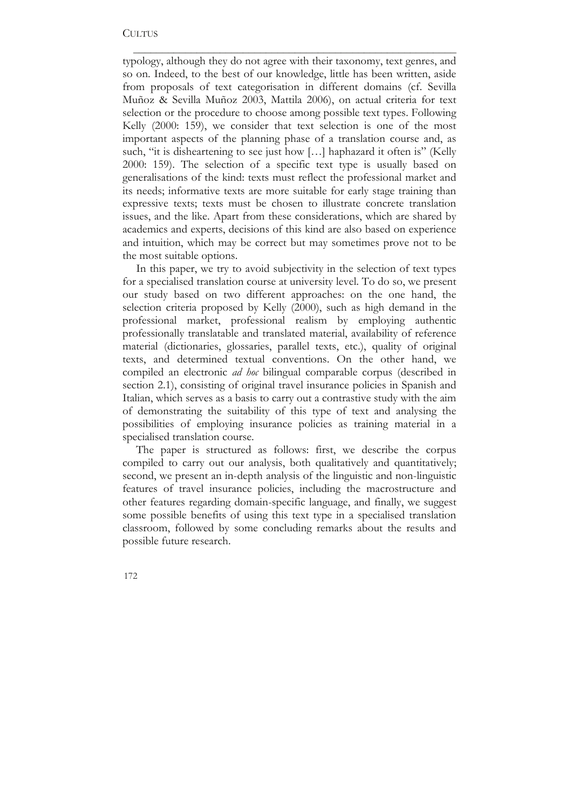typology, although they do not agree with their taxonomy, text genres, and so on. Indeed, to the best of our knowledge, little has been written, aside from proposals of text categorisation in different domains (cf. Sevilla Muñoz & Sevilla Muñoz 2003, Mattila 2006), on actual criteria for text selection or the procedure to choose among possible text types. Following Kelly (2000: 159), we consider that text selection is one of the most important aspects of the planning phase of a translation course and, as such, "it is disheartening to see just how [...] haphazard it often is" (Kelly 2000: 159). The selection of a specific text type is usually based on generalisations of the kind: texts must reflect the professional market and its needs; informative texts are more suitable for early stage training than expressive texts; texts must be chosen to illustrate concrete translation issues, and the like. Apart from these considerations, which are shared by academics and experts, decisions of this kind are also based on experience and intuition, which may be correct but may sometimes prove not to be the most suitable options.

\_\_\_\_\_\_\_\_\_\_\_\_\_\_\_\_\_\_\_\_\_\_\_\_\_\_\_\_\_\_\_\_\_\_\_\_\_\_\_\_\_\_\_\_\_\_\_\_\_\_\_\_\_\_\_\_

In this paper, we try to avoid subjectivity in the selection of text types for a specialised translation course at university level. To do so, we present our study based on two different approaches: on the one hand, the selection criteria proposed by Kelly (2000), such as high demand in the professional market, professional realism by employing authentic professionally translatable and translated material, availability of reference material (dictionaries, glossaries, parallel texts, etc.), quality of original texts, and determined textual conventions. On the other hand, we compiled an electronic *ad hoc* bilingual comparable corpus (described in section 2.1), consisting of original travel insurance policies in Spanish and Italian, which serves as a basis to carry out a contrastive study with the aim of demonstrating the suitability of this type of text and analysing the possibilities of employing insurance policies as training material in a specialised translation course.

The paper is structured as follows: first, we describe the corpus compiled to carry out our analysis, both qualitatively and quantitatively; second, we present an in-depth analysis of the linguistic and non-linguistic features of travel insurance policies, including the macrostructure and other features regarding domain-specific language, and finally, we suggest some possible benefits of using this text type in a specialised translation classroom, followed by some concluding remarks about the results and possible future research.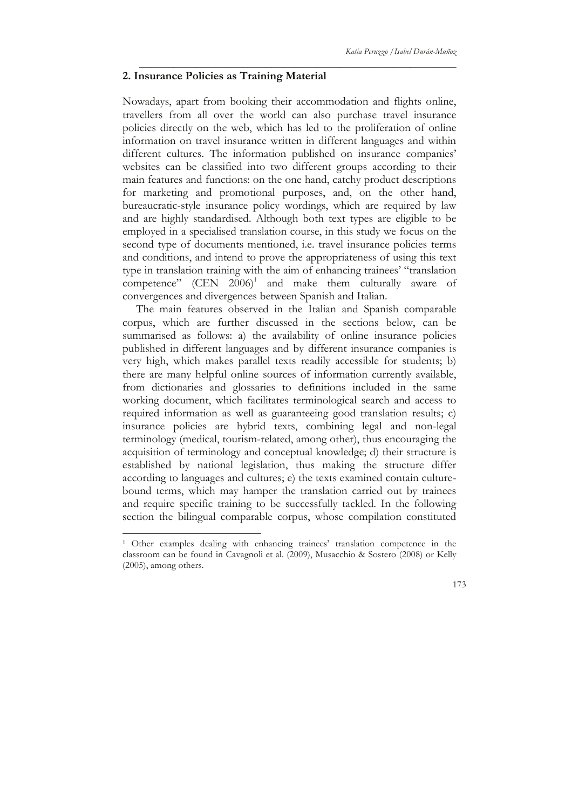#### **2. Insurance Policies as Training Material**

Nowadays, apart from booking their accommodation and flights online, travellers from all over the world can also purchase travel insurance policies directly on the web, which has led to the proliferation of online information on travel insurance written in different languages and within different cultures. The information published on insurance companies' websites can be classified into two different groups according to their main features and functions: on the one hand, catchy product descriptions for marketing and promotional purposes, and, on the other hand, bureaucratic-style insurance policy wordings, which are required by law and are highly standardised. Although both text types are eligible to be employed in a specialised translation course, in this study we focus on the second type of documents mentioned, i.e. travel insurance policies terms and conditions, and intend to prove the appropriateness of using this text type in translation training with the aim of enhancing trainees' "translation competence"  $(CEN 2006)^1$  and make them culturally aware of convergences and divergences between Spanish and Italian.

\_\_\_\_\_\_\_\_\_\_\_\_\_\_\_\_\_\_\_\_\_\_\_\_\_\_\_\_\_\_\_\_\_\_\_\_\_\_\_\_\_\_\_\_\_\_\_\_\_\_\_\_\_\_\_

The main features observed in the Italian and Spanish comparable corpus, which are further discussed in the sections below, can be summarised as follows: a) the availability of online insurance policies published in different languages and by different insurance companies is very high, which makes parallel texts readily accessible for students; b) there are many helpful online sources of information currently available, from dictionaries and glossaries to definitions included in the same working document, which facilitates terminological search and access to required information as well as guaranteeing good translation results; c) insurance policies are hybrid texts, combining legal and non-legal terminology (medical, tourism-related, among other), thus encouraging the acquisition of terminology and conceptual knowledge; d) their structure is established by national legislation, thus making the structure differ according to languages and cultures; e) the texts examined contain culturebound terms, which may hamper the translation carried out by trainees and require specific training to be successfully tackled. In the following section the bilingual comparable corpus, whose compilation constituted

<sup>&</sup>lt;sup>1</sup> Other examples dealing with enhancing trainees' translation competence in the classroom can be found in Cavagnoli et al. (2009), Musacchio & Sostero (2008) or Kelly (2005), among others.

<sup>173</sup>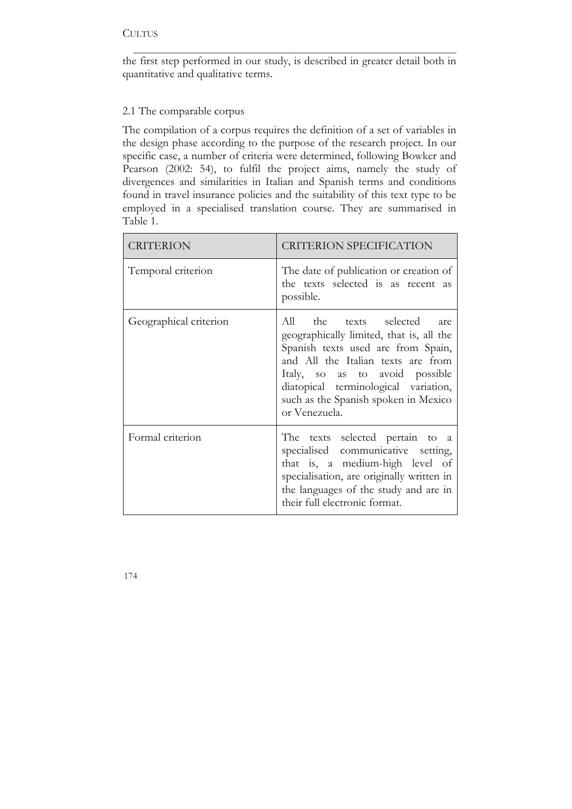the first step performed in our study, is described in greater detail both in quantitative and qualitative terms.

\_\_\_\_\_\_\_\_\_\_\_\_\_\_\_\_\_\_\_\_\_\_\_\_\_\_\_\_\_\_\_\_\_\_\_\_\_\_\_\_\_\_\_\_\_\_\_\_\_\_\_\_\_\_\_\_

## 2.1 The comparable corpus

The compilation of a corpus requires the definition of a set of variables in the design phase according to the purpose of the research project. In our specific case, a number of criteria were determined, following Bowker and Pearson (2002: 54), to fulfil the project aims, namely the study of divergences and similarities in Italian and Spanish terms and conditions found in travel insurance policies and the suitability of this text type to be employed in a specialised translation course. They are summarised in Table 1.

| CRITERION              | <b>CRITERION SPECIFICATION</b>                                                                                                                                                                                                                                                        |  |
|------------------------|---------------------------------------------------------------------------------------------------------------------------------------------------------------------------------------------------------------------------------------------------------------------------------------|--|
| Temporal criterion     | The date of publication or creation of<br>the texts selected is as recent as<br>possible.                                                                                                                                                                                             |  |
| Geographical criterion | All the texts selected are<br>geographically limited, that is, all the<br>Spanish texts used are from Spain,<br>and All the Italian texts are from<br>Italy, so as to avoid possible<br>diatopical terminological variation,<br>such as the Spanish spoken in Mexico<br>or Venezuela. |  |
| Formal criterion       | The texts selected pertain to a<br>specialised communicative setting,<br>that is, a medium-high level of<br>specialisation, are originally written in<br>the languages of the study and are in<br>their full electronic format.                                                       |  |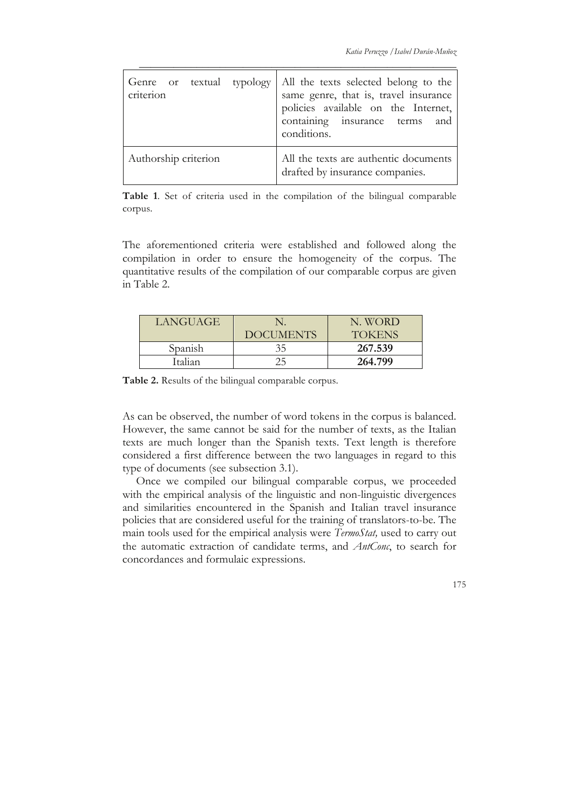| criterion            | Genre or textual typology   All the texts selected belong to the<br>same genre, that is, travel insurance<br>policies available on the Internet,<br>containing insurance terms and<br>conditions. |
|----------------------|---------------------------------------------------------------------------------------------------------------------------------------------------------------------------------------------------|
| Authorship criterion | All the texts are authentic documents<br>drafted by insurance companies.                                                                                                                          |

\_\_\_\_\_\_\_\_\_\_\_\_\_\_\_\_\_\_\_\_\_\_\_\_\_\_\_\_\_\_\_\_\_\_\_\_\_\_\_\_\_\_\_\_\_\_\_\_\_\_\_\_\_\_\_

**Table 1**. Set of criteria used in the compilation of the bilingual comparable corpus.

The aforementioned criteria were established and followed along the compilation in order to ensure the homogeneity of the corpus. The quantitative results of the compilation of our comparable corpus are given in Table 2.

| <b>LANGUAGE</b> |                  | N. WORD       |
|-----------------|------------------|---------------|
|                 | <b>DOCUMENTS</b> | <b>TOKENS</b> |
| Spanish         | 35               | 267.539       |
| Italian         |                  | 264.799       |

**Table 2.** Results of the bilingual comparable corpus.

As can be observed, the number of word tokens in the corpus is balanced. However, the same cannot be said for the number of texts, as the Italian texts are much longer than the Spanish texts. Text length is therefore considered a first difference between the two languages in regard to this type of documents (see subsection 3.1).

Once we compiled our bilingual comparable corpus, we proceeded with the empirical analysis of the linguistic and non-linguistic divergences and similarities encountered in the Spanish and Italian travel insurance policies that are considered useful for the training of translators-to-be. The main tools used for the empirical analysis were *TermoStat,* used to carry out the automatic extraction of candidate terms, and *AntConc*, to search for concordances and formulaic expressions.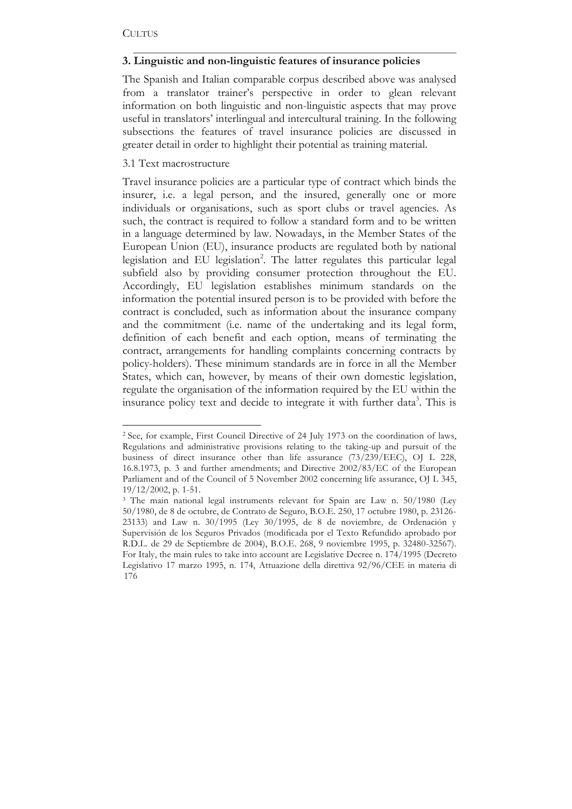## **3. Linguistic and non-linguistic features of insurance policies**

The Spanish and Italian comparable corpus described above was analysed from a translator trainer's perspective in order to glean relevant information on both linguistic and non-linguistic aspects that may prove useful in translators' interlingual and intercultural training. In the following subsections the features of travel insurance policies are discussed in greater detail in order to highlight their potential as training material.

\_\_\_\_\_\_\_\_\_\_\_\_\_\_\_\_\_\_\_\_\_\_\_\_\_\_\_\_\_\_\_\_\_\_\_\_\_\_\_\_\_\_\_\_\_\_\_\_\_\_\_\_\_\_\_\_

#### 3.1 Text macrostructure

Travel insurance policies are a particular type of contract which binds the insurer, i.e. a legal person, and the insured, generally one or more individuals or organisations, such as sport clubs or travel agencies. As such, the contract is required to follow a standard form and to be written in a language determined by law. Nowadays, in the Member States of the European Union (EU), insurance products are regulated both by national legislation and EU legislation<sup>2</sup>. The latter regulates this particular legal subfield also by providing consumer protection throughout the EU. Accordingly, EU legislation establishes minimum standards on the information the potential insured person is to be provided with before the contract is concluded, such as information about the insurance company and the commitment (i.e. name of the undertaking and its legal form, definition of each benefit and each option, means of terminating the contract, arrangements for handling complaints concerning contracts by policy-holders). These minimum standards are in force in all the Member States, which can, however, by means of their own domestic legislation, regulate the organisation of the information required by the EU within the insurance policy text and decide to integrate it with further data<sup>3</sup>. This is

<sup>&</sup>lt;sup>2</sup> See, for example, First Council Directive of 24 July 1973 on the coordination of laws, Regulations and administrative provisions relating to the taking-up and pursuit of the business of direct insurance other than life assurance (73/239/EEC), OJ L 228, 16.8.1973, p. 3 and further amendments; and Directive 2002/83/EC of the European Parliament and of the Council of 5 November 2002 concerning life assurance, OJ L 345, 19/12/2002, p. 1-51.

<sup>176</sup> <sup>3</sup> The main national legal instruments relevant for Spain are Law n. 50/1980 (Ley 50/1980, de 8 de octubre, de Contrato de Seguro, B.O.E. 250, 17 octubre 1980, p. 23126- 23133) and Law n. 30/1995 (Ley 30/1995, de 8 de noviembre, de Ordenación y Supervisión de los Seguros Privados (modificada por el Texto Refundido aprobado por R.D.L. de 29 de Septiembre de 2004), B.O.E. 268, 9 noviembre 1995, p. 32480-32567). For Italy, the main rules to take into account are Legislative Decree n. 174/1995 (Decreto Legislativo 17 marzo 1995, n. 174, Attuazione della direttiva 92/96/CEE in materia di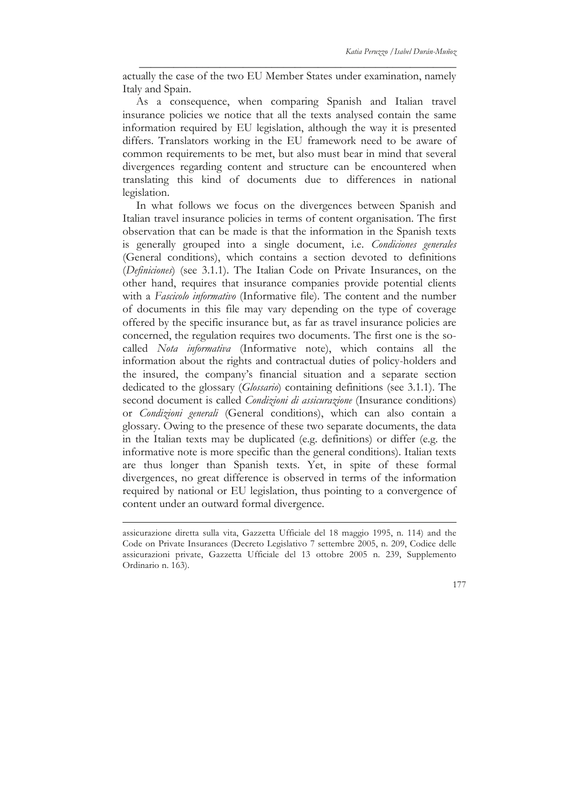actually the case of the two EU Member States under examination, namely Italy and Spain.

\_\_\_\_\_\_\_\_\_\_\_\_\_\_\_\_\_\_\_\_\_\_\_\_\_\_\_\_\_\_\_\_\_\_\_\_\_\_\_\_\_\_\_\_\_\_\_\_\_\_\_\_\_\_\_

As a consequence, when comparing Spanish and Italian travel insurance policies we notice that all the texts analysed contain the same information required by EU legislation, although the way it is presented differs. Translators working in the EU framework need to be aware of common requirements to be met, but also must bear in mind that several divergences regarding content and structure can be encountered when translating this kind of documents due to differences in national legislation.

In what follows we focus on the divergences between Spanish and Italian travel insurance policies in terms of content organisation. The first observation that can be made is that the information in the Spanish texts is generally grouped into a single document, i.e. *Condiciones generales* (General conditions), which contains a section devoted to definitions (*Definiciones*) (see 3.1.1). The Italian Code on Private Insurances, on the other hand, requires that insurance companies provide potential clients with a *Fascicolo informativo* (Informative file). The content and the number of documents in this file may vary depending on the type of coverage offered by the specific insurance but, as far as travel insurance policies are concerned, the regulation requires two documents. The first one is the socalled *Nota informativa* (Informative note), which contains all the information about the rights and contractual duties of policy-holders and the insured, the company's financial situation and a separate section dedicated to the glossary (*Glossario*) containing definitions (see 3.1.1). The second document is called *Condizioni di assicurazione* (Insurance conditions) or *Condizioni generali* (General conditions), which can also contain a glossary. Owing to the presence of these two separate documents, the data in the Italian texts may be duplicated (e.g. definitions) or differ (e.g. the informative note is more specific than the general conditions). Italian texts are thus longer than Spanish texts. Yet, in spite of these formal divergences, no great difference is observed in terms of the information required by national or EU legislation, thus pointing to a convergence of content under an outward formal divergence.

assicurazione diretta sulla vita, Gazzetta Ufficiale del 18 maggio 1995, n. 114) and the Code on Private Insurances (Decreto Legislativo 7 settembre 2005, n. 209, Codice delle assicurazioni private, Gazzetta Ufficiale del 13 ottobre 2005 n. 239, Supplemento Ordinario n. 163).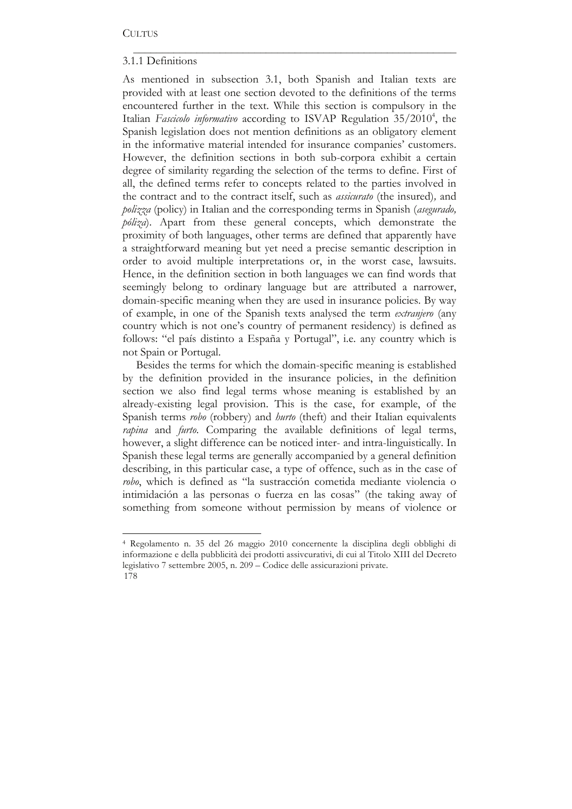## 3.1.1 Definitions

As mentioned in subsection 3.1, both Spanish and Italian texts are provided with at least one section devoted to the definitions of the terms encountered further in the text. While this section is compulsory in the Italian Fascicolo informativo according to ISVAP Regulation 35/2010<sup>4</sup>, the Spanish legislation does not mention definitions as an obligatory element in the informative material intended for insurance companies' customers. However, the definition sections in both sub-corpora exhibit a certain degree of similarity regarding the selection of the terms to define. First of all, the defined terms refer to concepts related to the parties involved in the contract and to the contract itself, such as *assicurato* (the insured)*,* and *polizza* (policy) in Italian and the corresponding terms in Spanish (*asegurado, póliza*). Apart from these general concepts, which demonstrate the proximity of both languages, other terms are defined that apparently have a straightforward meaning but yet need a precise semantic description in order to avoid multiple interpretations or, in the worst case, lawsuits. Hence, in the definition section in both languages we can find words that seemingly belong to ordinary language but are attributed a narrower, domain-specific meaning when they are used in insurance policies. By way of example, in one of the Spanish texts analysed the term *extranjero* (any country which is not one's country of permanent residency) is defined as follows: "el país distinto a España y Portugal", i.e. any country which is not Spain or Portugal.

\_\_\_\_\_\_\_\_\_\_\_\_\_\_\_\_\_\_\_\_\_\_\_\_\_\_\_\_\_\_\_\_\_\_\_\_\_\_\_\_\_\_\_\_\_\_\_\_\_\_\_\_\_\_\_\_

Besides the terms for which the domain-specific meaning is established by the definition provided in the insurance policies, in the definition section we also find legal terms whose meaning is established by an already-existing legal provision. This is the case, for example, of the Spanish terms *robo* (robbery) and *hurto* (theft) and their Italian equivalents *rapina* and *furto*. Comparing the available definitions of legal terms, however, a slight difference can be noticed inter- and intra-linguistically. In Spanish these legal terms are generally accompanied by a general definition describing, in this particular case, a type of offence, such as in the case of *robo*, which is defined as "la sustracción cometida mediante violencia o intimidación a las personas o fuerza en las cosas" (the taking away of something from someone without permission by means of violence or

<sup>178</sup> <sup>4</sup> Regolamento n. 35 del 26 maggio 2010 concernente la disciplina degli obblighi di informazione e della pubblicità dei prodotti assivcurativi, di cui al Titolo XIII del Decreto legislativo 7 settembre 2005, n. 209 – Codice delle assicurazioni private.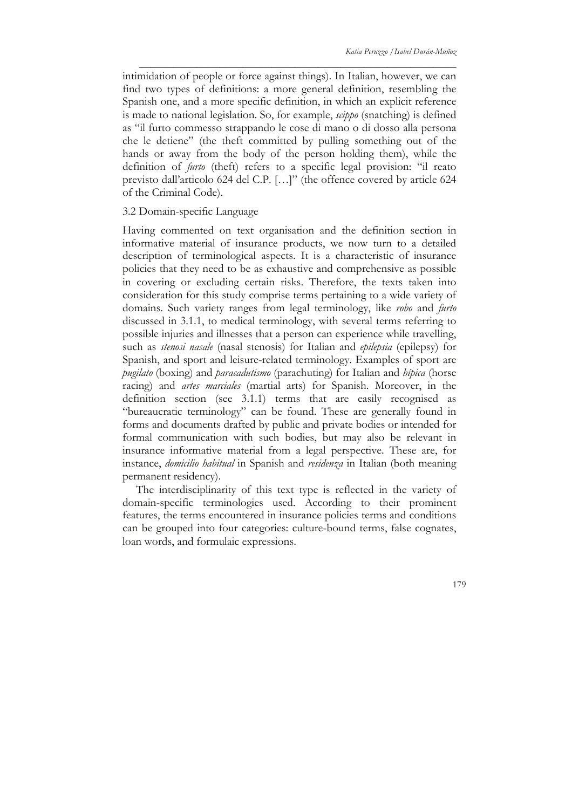intimidation of people or force against things). In Italian, however, we can find two types of definitions: a more general definition, resembling the Spanish one, and a more specific definition, in which an explicit reference is made to national legislation. So, for example, *scippo* (snatching) is defined as "il furto commesso strappando le cose di mano o di dosso alla persona che le detiene" (the theft committed by pulling something out of the hands or away from the body of the person holding them), while the definition of *furto* (theft) refers to a specific legal provision: "il reato previsto dall'articolo 624 del C.P. […]" (the offence covered by article 624 of the Criminal Code).

\_\_\_\_\_\_\_\_\_\_\_\_\_\_\_\_\_\_\_\_\_\_\_\_\_\_\_\_\_\_\_\_\_\_\_\_\_\_\_\_\_\_\_\_\_\_\_\_\_\_\_\_\_\_\_

#### 3.2 Domain-specific Language

Having commented on text organisation and the definition section in informative material of insurance products, we now turn to a detailed description of terminological aspects. It is a characteristic of insurance policies that they need to be as exhaustive and comprehensive as possible in covering or excluding certain risks. Therefore, the texts taken into consideration for this study comprise terms pertaining to a wide variety of domains. Such variety ranges from legal terminology, like *robo* and *furto* discussed in 3.1.1, to medical terminology, with several terms referring to possible injuries and illnesses that a person can experience while travelling, such as *stenosi nasale* (nasal stenosis) for Italian and *epilepsia* (epilepsy) for Spanish, and sport and leisure-related terminology. Examples of sport are *pugilato* (boxing) and *paracadutismo* (parachuting) for Italian and *hípica* (horse racing) and *artes marciales* (martial arts) for Spanish. Moreover, in the definition section (see 3.1.1) terms that are easily recognised as "bureaucratic terminology" can be found. These are generally found in forms and documents drafted by public and private bodies or intended for formal communication with such bodies, but may also be relevant in insurance informative material from a legal perspective. These are, for instance, *domicilio habitual* in Spanish and *residenza* in Italian (both meaning permanent residency).

The interdisciplinarity of this text type is reflected in the variety of domain-specific terminologies used. According to their prominent features, the terms encountered in insurance policies terms and conditions can be grouped into four categories: culture-bound terms, false cognates, loan words, and formulaic expressions.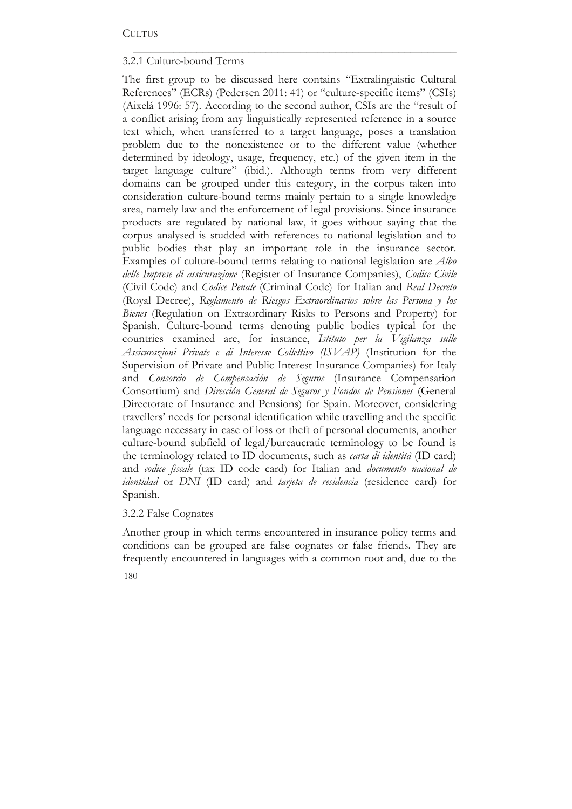## 3.2.1 Culture-bound Terms

The first group to be discussed here contains "Extralinguistic Cultural References" (ECRs) (Pedersen 2011: 41) or "culture-specific items" (CSIs) (Aixelá 1996: 57). According to the second author, CSIs are the "result of a conflict arising from any linguistically represented reference in a source text which, when transferred to a target language, poses a translation problem due to the nonexistence or to the different value (whether determined by ideology, usage, frequency, etc.) of the given item in the target language culture" (ibid.). Although terms from very different domains can be grouped under this category, in the corpus taken into consideration culture-bound terms mainly pertain to a single knowledge area, namely law and the enforcement of legal provisions. Since insurance products are regulated by national law, it goes without saying that the corpus analysed is studded with references to national legislation and to public bodies that play an important role in the insurance sector. Examples of culture-bound terms relating to national legislation are *Albo delle Imprese di assicurazione* (Register of Insurance Companies), *Codice Civile*  (Civil Code) and *Codice Penale* (Criminal Code) for Italian and *Real Decreto*  (Royal Decree), *Reglamento de Riesgos Extraordinarios sobre las Persona y los Bienes* (Regulation on Extraordinary Risks to Persons and Property) for Spanish. Culture-bound terms denoting public bodies typical for the countries examined are, for instance, *Istituto per la Vigilanza sulle Assicurazioni Private e di Interesse Collettivo (ISVAP)* (Institution for the Supervision of Private and Public Interest Insurance Companies) for Italy and *Consorcio de Compensación de Seguros* (Insurance Compensation Consortium) and *Dirección General de Seguros y Fondos de Pensiones* (General Directorate of Insurance and Pensions) for Spain. Moreover, considering travellers' needs for personal identification while travelling and the specific language necessary in case of loss or theft of personal documents, another culture-bound subfield of legal/bureaucratic terminology to be found is the terminology related to ID documents, such as *carta di identità* (ID card) and *codice fiscale* (tax ID code card) for Italian and *documento nacional de identidad* or *DNI* (ID card) and *tarjeta de residencia* (residence card) for Spanish.

\_\_\_\_\_\_\_\_\_\_\_\_\_\_\_\_\_\_\_\_\_\_\_\_\_\_\_\_\_\_\_\_\_\_\_\_\_\_\_\_\_\_\_\_\_\_\_\_\_\_\_\_\_\_\_\_

## 3.2.2 False Cognates

Another group in which terms encountered in insurance policy terms and conditions can be grouped are false cognates or false friends. They are frequently encountered in languages with a common root and, due to the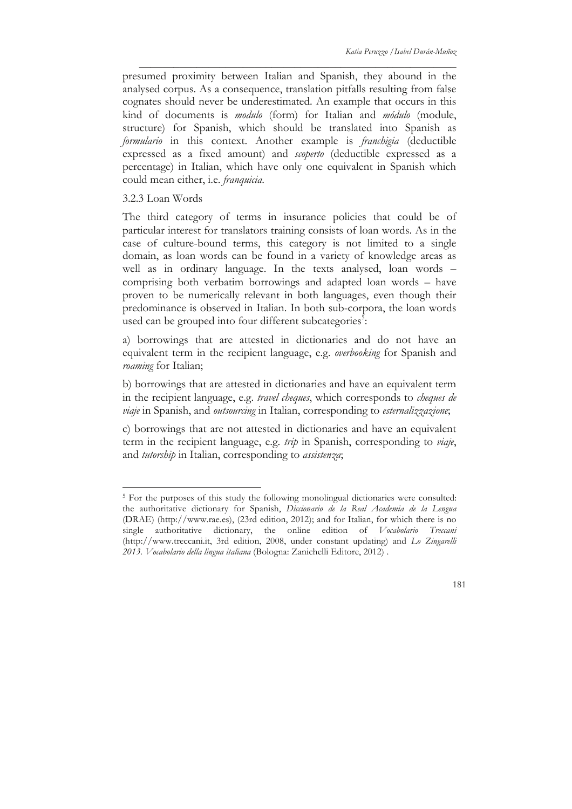presumed proximity between Italian and Spanish, they abound in the analysed corpus. As a consequence, translation pitfalls resulting from false cognates should never be underestimated. An example that occurs in this kind of documents is *modulo* (form) for Italian and *módulo* (module, structure) for Spanish, which should be translated into Spanish as *formulario* in this context. Another example is *franchigia* (deductible expressed as a fixed amount) and *scoperto* (deductible expressed as a percentage) in Italian, which have only one equivalent in Spanish which could mean either, i.e. *franquicia*.

\_\_\_\_\_\_\_\_\_\_\_\_\_\_\_\_\_\_\_\_\_\_\_\_\_\_\_\_\_\_\_\_\_\_\_\_\_\_\_\_\_\_\_\_\_\_\_\_\_\_\_\_\_\_\_

3.2.3 Loan Words

The third category of terms in insurance policies that could be of particular interest for translators training consists of loan words. As in the case of culture-bound terms, this category is not limited to a single domain, as loan words can be found in a variety of knowledge areas as well as in ordinary language. In the texts analysed, loan words – comprising both verbatim borrowings and adapted loan words – have proven to be numerically relevant in both languages, even though their predominance is observed in Italian. In both sub-corpora, the loan words used can be grouped into four different subcategories<sup>5</sup>:

a) borrowings that are attested in dictionaries and do not have an equivalent term in the recipient language, e.g. *overbooking* for Spanish and *roaming* for Italian;

b) borrowings that are attested in dictionaries and have an equivalent term in the recipient language, e.g. *travel cheques*, which corresponds to *cheques de viaje* in Spanish, and *outsourcing* in Italian, corresponding to *esternalizzazione*;

c) borrowings that are not attested in dictionaries and have an equivalent term in the recipient language, e.g. *trip* in Spanish, corresponding to *viaje*, and *tutorship* in Italian, corresponding to *assistenza*;

<sup>&</sup>lt;sup>5</sup> For the purposes of this study the following monolingual dictionaries were consulted: the authoritative dictionary for Spanish, *Diccionario de la Real Academia de la Lengua* (DRAE) (http://www.rae.es), (23rd edition, 2012); and for Italian, for which there is no single authoritative dictionary, the online edition of *Vocabolario Treccani* (http://www.treccani.it, 3rd edition, 2008, under constant updating) and *Lo Zingarelli 2013. Vocabolario della lingua italiana* (Bologna: Zanichelli Editore, 2012) .

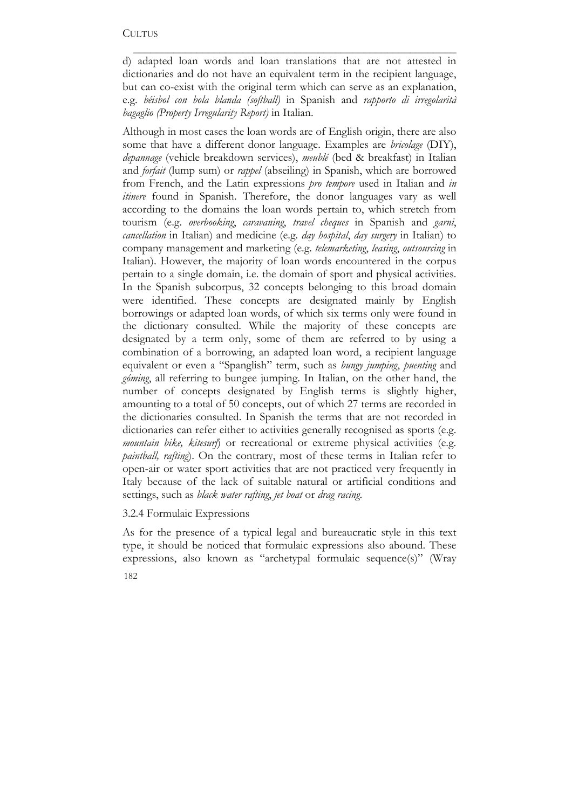d) adapted loan words and loan translations that are not attested in dictionaries and do not have an equivalent term in the recipient language, but can co-exist with the original term which can serve as an explanation, e.g. *béisbol con bola blanda (softball)* in Spanish and *rapporto di irregolarità bagaglio (Property Irregularity Report)* in Italian.

\_\_\_\_\_\_\_\_\_\_\_\_\_\_\_\_\_\_\_\_\_\_\_\_\_\_\_\_\_\_\_\_\_\_\_\_\_\_\_\_\_\_\_\_\_\_\_\_\_\_\_\_\_\_\_\_

Although in most cases the loan words are of English origin, there are also some that have a different donor language. Examples are *bricolage* (DIY), *depannage* (vehicle breakdown services), *meublé* (bed & breakfast) in Italian and *forfait* (lump sum) or *rappel* (abseiling) in Spanish, which are borrowed from French, and the Latin expressions *pro tempore* used in Italian and *in itinere* found in Spanish. Therefore, the donor languages vary as well according to the domains the loan words pertain to, which stretch from tourism (e.g. *overbooking*, *caravaning*, *travel cheques* in Spanish and *garni*, *cancellation* in Italian) and medicine (e.g. *day hospital*, *day surgery* in Italian) to company management and marketing (e.g. *telemarketing*, *leasing*, *outsourcing* in Italian). However, the majority of loan words encountered in the corpus pertain to a single domain, i.e. the domain of sport and physical activities. In the Spanish subcorpus, 32 concepts belonging to this broad domain were identified. These concepts are designated mainly by English borrowings or adapted loan words, of which six terms only were found in the dictionary consulted. While the majority of these concepts are designated by a term only, some of them are referred to by using a combination of a borrowing, an adapted loan word, a recipient language equivalent or even a "Spanglish" term, such as *bungy jumping*, *puenting* and *góming*, all referring to bungee jumping. In Italian, on the other hand, the number of concepts designated by English terms is slightly higher, amounting to a total of 50 concepts, out of which 27 terms are recorded in the dictionaries consulted. In Spanish the terms that are not recorded in dictionaries can refer either to activities generally recognised as sports (e.g. *mountain bike, kitesurf*) or recreational or extreme physical activities (e.g. *paintball, rafting*). On the contrary, most of these terms in Italian refer to open-air or water sport activities that are not practiced very frequently in Italy because of the lack of suitable natural or artificial conditions and settings, such as *black water rafting*, *jet boat* or *drag racing*.

#### 3.2.4 Formulaic Expressions

182 As for the presence of a typical legal and bureaucratic style in this text type, it should be noticed that formulaic expressions also abound. These expressions, also known as "archetypal formulaic sequence(s)" (Wray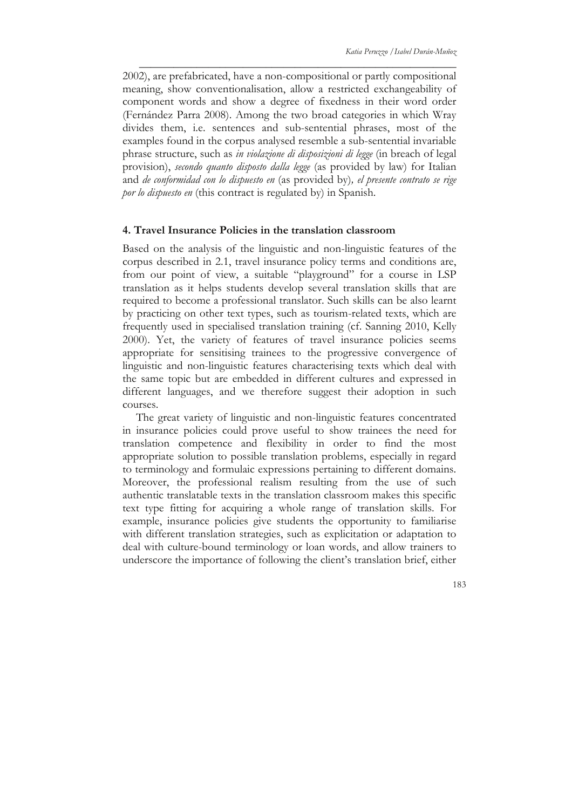2002), are prefabricated, have a non-compositional or partly compositional meaning, show conventionalisation, allow a restricted exchangeability of component words and show a degree of fixedness in their word order (Fernández Parra 2008). Among the two broad categories in which Wray divides them, i.e. sentences and sub-sentential phrases, most of the examples found in the corpus analysed resemble a sub-sentential invariable phrase structure, such as *in violazione di disposizioni di legge* (in breach of legal provision), *secondo quanto disposto dalla legge* (as provided by law) for Italian and *de conformidad con lo dispuesto en* (as provided by)*, el presente contrato se rige por lo dispuesto en* (this contract is regulated by) in Spanish.

\_\_\_\_\_\_\_\_\_\_\_\_\_\_\_\_\_\_\_\_\_\_\_\_\_\_\_\_\_\_\_\_\_\_\_\_\_\_\_\_\_\_\_\_\_\_\_\_\_\_\_\_\_\_\_

#### **4. Travel Insurance Policies in the translation classroom**

Based on the analysis of the linguistic and non-linguistic features of the corpus described in 2.1, travel insurance policy terms and conditions are, from our point of view, a suitable "playground" for a course in LSP translation as it helps students develop several translation skills that are required to become a professional translator. Such skills can be also learnt by practicing on other text types, such as tourism-related texts, which are frequently used in specialised translation training (cf. Sanning 2010, Kelly 2000). Yet, the variety of features of travel insurance policies seems appropriate for sensitising trainees to the progressive convergence of linguistic and non-linguistic features characterising texts which deal with the same topic but are embedded in different cultures and expressed in different languages, and we therefore suggest their adoption in such courses.

The great variety of linguistic and non-linguistic features concentrated in insurance policies could prove useful to show trainees the need for translation competence and flexibility in order to find the most appropriate solution to possible translation problems, especially in regard to terminology and formulaic expressions pertaining to different domains. Moreover, the professional realism resulting from the use of such authentic translatable texts in the translation classroom makes this specific text type fitting for acquiring a whole range of translation skills. For example, insurance policies give students the opportunity to familiarise with different translation strategies, such as explicitation or adaptation to deal with culture-bound terminology or loan words, and allow trainers to underscore the importance of following the client's translation brief, either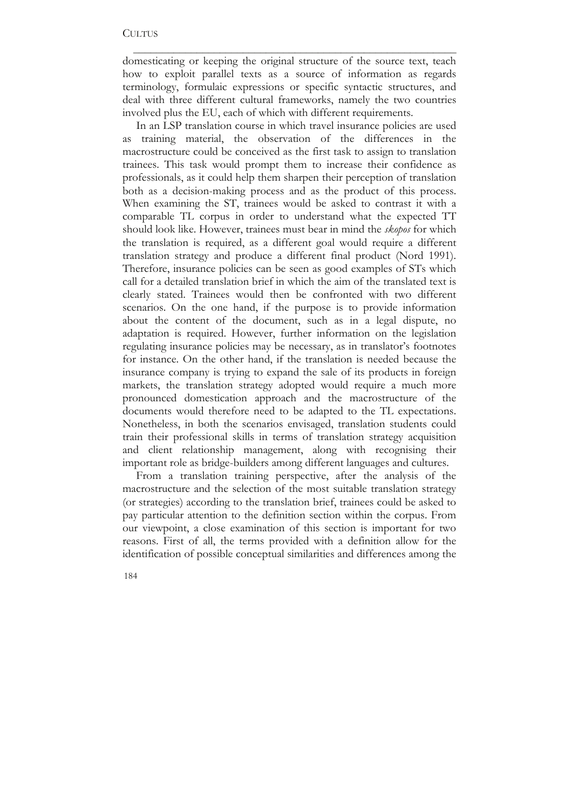domesticating or keeping the original structure of the source text, teach how to exploit parallel texts as a source of information as regards terminology, formulaic expressions or specific syntactic structures, and deal with three different cultural frameworks, namely the two countries involved plus the EU, each of which with different requirements.

\_\_\_\_\_\_\_\_\_\_\_\_\_\_\_\_\_\_\_\_\_\_\_\_\_\_\_\_\_\_\_\_\_\_\_\_\_\_\_\_\_\_\_\_\_\_\_\_\_\_\_\_\_\_\_\_

In an LSP translation course in which travel insurance policies are used as training material, the observation of the differences in the macrostructure could be conceived as the first task to assign to translation trainees. This task would prompt them to increase their confidence as professionals, as it could help them sharpen their perception of translation both as a decision-making process and as the product of this process. When examining the ST, trainees would be asked to contrast it with a comparable TL corpus in order to understand what the expected TT should look like. However, trainees must bear in mind the *skopos* for which the translation is required, as a different goal would require a different translation strategy and produce a different final product (Nord 1991). Therefore, insurance policies can be seen as good examples of STs which call for a detailed translation brief in which the aim of the translated text is clearly stated. Trainees would then be confronted with two different scenarios. On the one hand, if the purpose is to provide information about the content of the document, such as in a legal dispute, no adaptation is required. However, further information on the legislation regulating insurance policies may be necessary, as in translator's footnotes for instance. On the other hand, if the translation is needed because the insurance company is trying to expand the sale of its products in foreign markets, the translation strategy adopted would require a much more pronounced domestication approach and the macrostructure of the documents would therefore need to be adapted to the TL expectations. Nonetheless, in both the scenarios envisaged, translation students could train their professional skills in terms of translation strategy acquisition and client relationship management, along with recognising their important role as bridge-builders among different languages and cultures.

From a translation training perspective, after the analysis of the macrostructure and the selection of the most suitable translation strategy (or strategies) according to the translation brief, trainees could be asked to pay particular attention to the definition section within the corpus. From our viewpoint, a close examination of this section is important for two reasons. First of all, the terms provided with a definition allow for the identification of possible conceptual similarities and differences among the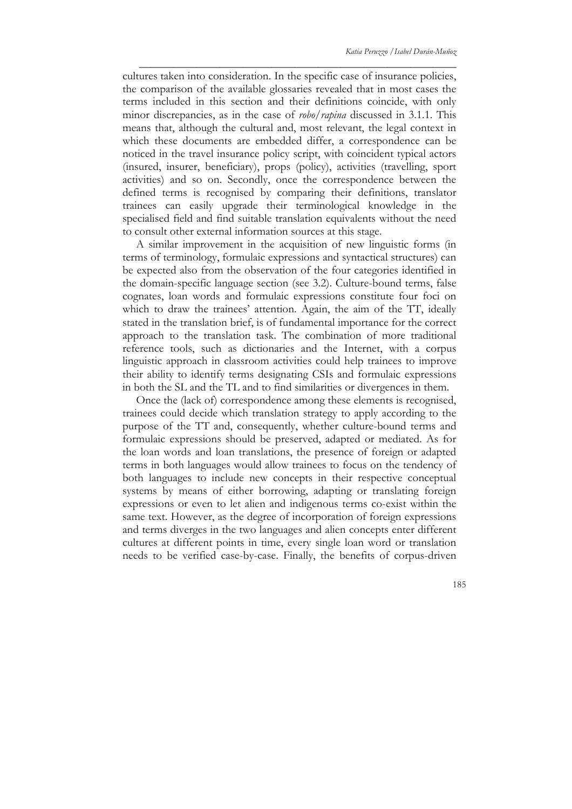cultures taken into consideration. In the specific case of insurance policies, the comparison of the available glossaries revealed that in most cases the terms included in this section and their definitions coincide, with only minor discrepancies, as in the case of *robo/rapina* discussed in 3.1.1. This means that, although the cultural and, most relevant, the legal context in which these documents are embedded differ, a correspondence can be noticed in the travel insurance policy script, with coincident typical actors (insured, insurer, beneficiary), props (policy), activities (travelling, sport activities) and so on. Secondly, once the correspondence between the defined terms is recognised by comparing their definitions, translator trainees can easily upgrade their terminological knowledge in the specialised field and find suitable translation equivalents without the need to consult other external information sources at this stage.

\_\_\_\_\_\_\_\_\_\_\_\_\_\_\_\_\_\_\_\_\_\_\_\_\_\_\_\_\_\_\_\_\_\_\_\_\_\_\_\_\_\_\_\_\_\_\_\_\_\_\_\_\_\_\_

A similar improvement in the acquisition of new linguistic forms (in terms of terminology, formulaic expressions and syntactical structures) can be expected also from the observation of the four categories identified in the domain-specific language section (see 3.2). Culture-bound terms, false cognates, loan words and formulaic expressions constitute four foci on which to draw the trainees' attention. Again, the aim of the TT, ideally stated in the translation brief, is of fundamental importance for the correct approach to the translation task. The combination of more traditional reference tools, such as dictionaries and the Internet, with a corpus linguistic approach in classroom activities could help trainees to improve their ability to identify terms designating CSIs and formulaic expressions in both the SL and the TL and to find similarities or divergences in them.

Once the (lack of) correspondence among these elements is recognised, trainees could decide which translation strategy to apply according to the purpose of the TT and, consequently, whether culture-bound terms and formulaic expressions should be preserved, adapted or mediated. As for the loan words and loan translations, the presence of foreign or adapted terms in both languages would allow trainees to focus on the tendency of both languages to include new concepts in their respective conceptual systems by means of either borrowing, adapting or translating foreign expressions or even to let alien and indigenous terms co-exist within the same text. However, as the degree of incorporation of foreign expressions and terms diverges in the two languages and alien concepts enter different cultures at different points in time, every single loan word or translation needs to be verified case-by-case. Finally, the benefits of corpus-driven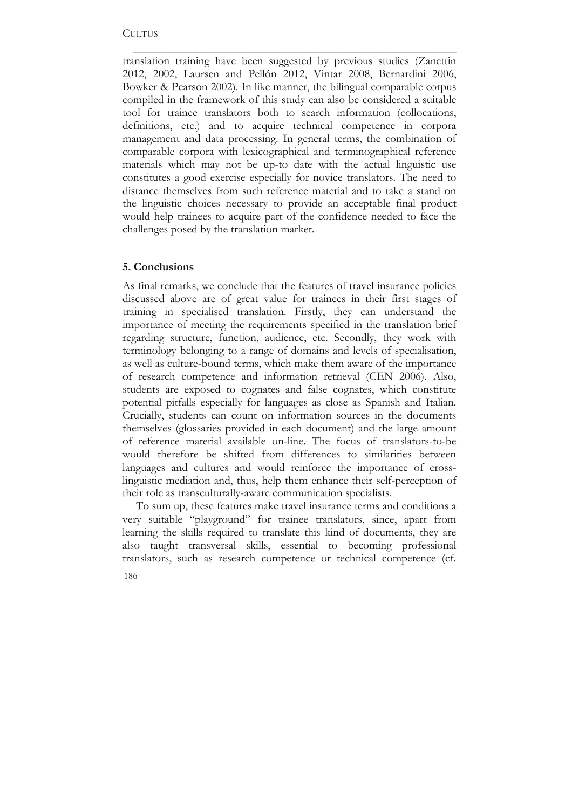translation training have been suggested by previous studies (Zanettin 2012, 2002, Laursen and Pellón 2012, Vintar 2008, Bernardini 2006, Bowker & Pearson 2002). In like manner, the bilingual comparable corpus compiled in the framework of this study can also be considered a suitable tool for trainee translators both to search information (collocations, definitions, etc.) and to acquire technical competence in corpora management and data processing. In general terms, the combination of comparable corpora with lexicographical and terminographical reference materials which may not be up-to date with the actual linguistic use constitutes a good exercise especially for novice translators. The need to distance themselves from such reference material and to take a stand on the linguistic choices necessary to provide an acceptable final product would help trainees to acquire part of the confidence needed to face the challenges posed by the translation market.

\_\_\_\_\_\_\_\_\_\_\_\_\_\_\_\_\_\_\_\_\_\_\_\_\_\_\_\_\_\_\_\_\_\_\_\_\_\_\_\_\_\_\_\_\_\_\_\_\_\_\_\_\_\_\_\_

#### **5. Conclusions**

As final remarks, we conclude that the features of travel insurance policies discussed above are of great value for trainees in their first stages of training in specialised translation. Firstly, they can understand the importance of meeting the requirements specified in the translation brief regarding structure, function, audience, etc. Secondly, they work with terminology belonging to a range of domains and levels of specialisation, as well as culture-bound terms, which make them aware of the importance of research competence and information retrieval (CEN 2006). Also, students are exposed to cognates and false cognates, which constitute potential pitfalls especially for languages as close as Spanish and Italian. Crucially, students can count on information sources in the documents themselves (glossaries provided in each document) and the large amount of reference material available on-line. The focus of translators-to-be would therefore be shifted from differences to similarities between languages and cultures and would reinforce the importance of crosslinguistic mediation and, thus, help them enhance their self-perception of their role as transculturally-aware communication specialists.

186 To sum up, these features make travel insurance terms and conditions a very suitable "playground" for trainee translators, since, apart from learning the skills required to translate this kind of documents, they are also taught transversal skills, essential to becoming professional translators, such as research competence or technical competence (cf.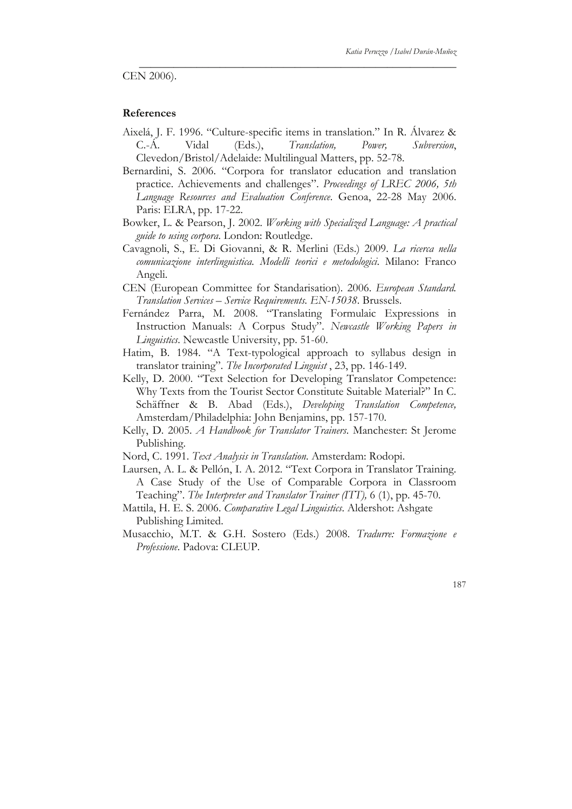CEN 2006).

#### **References**

Aixelá, J. F. 1996. "Culture-specific items in translation." In R. Álvarez & C.-Á. Vidal (Eds.), *Translation, Power, Subversion*, Clevedon/Bristol/Adelaide: Multilingual Matters, pp. 52-78.

\_\_\_\_\_\_\_\_\_\_\_\_\_\_\_\_\_\_\_\_\_\_\_\_\_\_\_\_\_\_\_\_\_\_\_\_\_\_\_\_\_\_\_\_\_\_\_\_\_\_\_\_\_\_\_

- Bernardini, S. 2006. "Corpora for translator education and translation practice. Achievements and challenges". *Proceedings of LREC 2006, 5th Language Resources and Evaluation Conference*. Genoa, 22-28 May 2006. Paris: ELRA, pp. 17-22.
- Bowker, L. & Pearson, J. 2002. *Working with Specialized Language: A practical guide to using corpora*. London: Routledge.
- Cavagnoli, S., E. Di Giovanni, & R. Merlini (Eds.) 2009. *La ricerca nella comunicazione interlinguistica. Modelli teorici e metodologici*. Milano: Franco Angeli.
- CEN (European Committee for Standarisation). 2006. *European Standard. Translation Services – Service Requirements. EN-15038*. Brussels.
- Fernández Parra, M. 2008. "Translating Formulaic Expressions in Instruction Manuals: A Corpus Study". *Newcastle Working Papers in Linguistics*. Newcastle University, pp. 51-60.
- Hatim, B. 1984. "A Text-typological approach to syllabus design in translator training". *The Incorporated Linguist* , 23, pp. 146-149.
- Kelly, D. 2000. "Text Selection for Developing Translator Competence: Why Texts from the Tourist Sector Constitute Suitable Material?" In C. Schäffner & B. Abad (Eds.), *Developing Translation Competence,*  Amsterdam/Philadelphia: John Benjamins, pp. 157-170.
- Kelly, D. 2005. *A Handbook for Translator Trainers*. Manchester: St Jerome Publishing.
- Nord, C. 1991. *Text Analysis in Translation*. Amsterdam: Rodopi.
- Laursen, A. L. & Pellón, I. A. 2012. "Text Corpora in Translator Training. A Case Study of the Use of Comparable Corpora in Classroom Teaching". *The Interpreter and Translator Trainer (ITT),* 6 (1), pp. 45-70.
- Mattila, H. E. S. 2006. *Comparative Legal Linguistics*. Aldershot: Ashgate Publishing Limited.
- Musacchio, M.T. & G.H. Sostero (Eds.) 2008. *Tradurre: Formazione e Professione*. Padova: CLEUP.